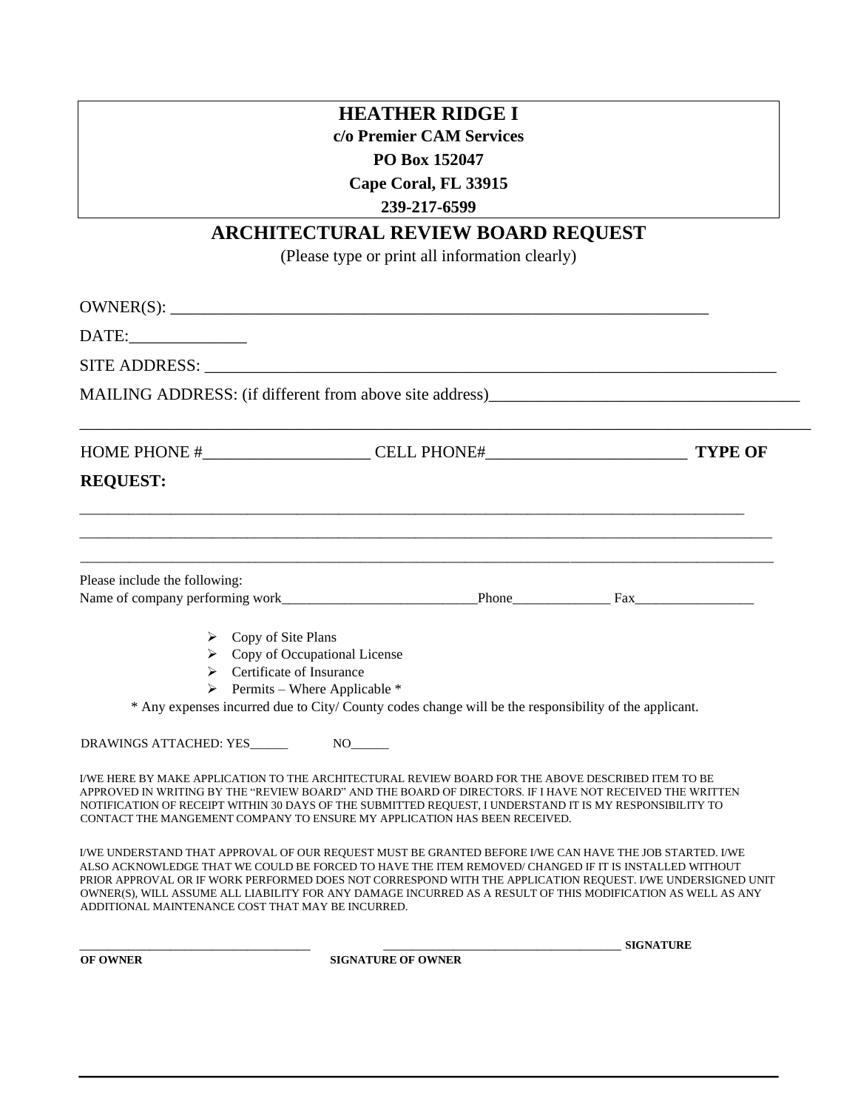## **HEATHER RIDGE I**

**c/o Premier CAM Services** 

## **PO Box 152047**

**Cape Coral, FL 33915** 

**239-217-6599**

## **ARCHITECTURAL REVIEW BOARD REQUEST**

(Please type or print all information clearly)

| OWNER(S):                                                                                                                                                                                                                                                                                                                                                                                                                                                                                           |                                                                                                      |                  |  |  |
|-----------------------------------------------------------------------------------------------------------------------------------------------------------------------------------------------------------------------------------------------------------------------------------------------------------------------------------------------------------------------------------------------------------------------------------------------------------------------------------------------------|------------------------------------------------------------------------------------------------------|------------------|--|--|
|                                                                                                                                                                                                                                                                                                                                                                                                                                                                                                     |                                                                                                      |                  |  |  |
|                                                                                                                                                                                                                                                                                                                                                                                                                                                                                                     |                                                                                                      |                  |  |  |
| MAILING ADDRESS: (if different from above site address)__________________________                                                                                                                                                                                                                                                                                                                                                                                                                   |                                                                                                      |                  |  |  |
|                                                                                                                                                                                                                                                                                                                                                                                                                                                                                                     |                                                                                                      |                  |  |  |
| <b>REQUEST:</b>                                                                                                                                                                                                                                                                                                                                                                                                                                                                                     |                                                                                                      |                  |  |  |
|                                                                                                                                                                                                                                                                                                                                                                                                                                                                                                     |                                                                                                      |                  |  |  |
| Please include the following:                                                                                                                                                                                                                                                                                                                                                                                                                                                                       |                                                                                                      |                  |  |  |
|                                                                                                                                                                                                                                                                                                                                                                                                                                                                                                     |                                                                                                      |                  |  |  |
| $\triangleright$ Copy of Site Plans                                                                                                                                                                                                                                                                                                                                                                                                                                                                 |                                                                                                      |                  |  |  |
|                                                                                                                                                                                                                                                                                                                                                                                                                                                                                                     | $\triangleright$ Copy of Occupational License                                                        |                  |  |  |
| $\triangleright$ Certificate of Insurance                                                                                                                                                                                                                                                                                                                                                                                                                                                           |                                                                                                      |                  |  |  |
|                                                                                                                                                                                                                                                                                                                                                                                                                                                                                                     | $\triangleright$ Permits – Where Applicable *                                                        |                  |  |  |
|                                                                                                                                                                                                                                                                                                                                                                                                                                                                                                     | * Any expenses incurred due to City/County codes change will be the responsibility of the applicant. |                  |  |  |
|                                                                                                                                                                                                                                                                                                                                                                                                                                                                                                     |                                                                                                      |                  |  |  |
| I/WE HERE BY MAKE APPLICATION TO THE ARCHITECTURAL REVIEW BOARD FOR THE ABOVE DESCRIBED ITEM TO BE<br>APPROVED IN WRITING BY THE "REVIEW BOARD" AND THE BOARD OF DIRECTORS. IF I HAVE NOT RECEIVED THE WRITTEN<br>NOTIFICATION OF RECEIPT WITHIN 30 DAYS OF THE SUBMITTED REOUEST, I UNDERSTAND IT IS MY RESPONSIBILITY TO<br>CONTACT THE MANGEMENT COMPANY TO ENSURE MY APPLICATION HAS BEEN RECEIVED.                                                                                             |                                                                                                      |                  |  |  |
| I/WE UNDERSTAND THAT APPROVAL OF OUR REQUEST MUST BE GRANTED BEFORE I/WE CAN HAVE THE JOB STARTED. I/WE<br>ALSO ACKNOWLEDGE THAT WE COULD BE FORCED TO HAVE THE ITEM REMOVED/ CHANGED IF IT IS INSTALLED WITHOUT<br>PRIOR APPROVAL OR IF WORK PERFORMED DOES NOT CORRESPOND WITH THE APPLICATION REQUEST. I/WE UNDERSIGNED UNIT<br>OWNER(S), WILL ASSUME ALL LIABILITY FOR ANY DAMAGE INCURRED AS A RESULT OF THIS MODIFICATION AS WELL AS ANY<br>ADDITIONAL MAINTENANCE COST THAT MAY BE INCURRED. |                                                                                                      |                  |  |  |
|                                                                                                                                                                                                                                                                                                                                                                                                                                                                                                     |                                                                                                      | <b>SIGNATURE</b> |  |  |

**OF OWNER SIGNATURE OF OWNER**